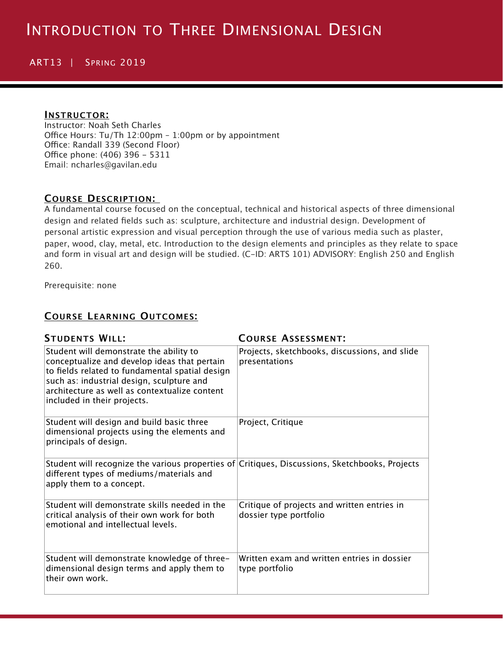# ART13 | SPRING 2019

#### **INSTRUCTOR:**

Instructor: Noah Seth Charles Office Hours: Tu/Th  $12:00$ pm - 1:00pm or by appointment Office: Randall 339 (Second Floor) Office phone: (406) 396 - 5311 Email: ncharles@gavilan.edu

## **COURSE DESCRIPTION:**

A fundamental course focused on the conceptual, technical and historical aspects of three dimensional design and related fields such as: sculpture, architecture and industrial design. Development of personal artistic expression and visual perception through the use of various media such as plaster, paper, wood, clay, metal, etc. Introduction to the design elements and principles as they relate to space and form in visual art and design will be studied. (C-ID: ARTS 101) ADVISORY: English 250 and English 260.

Prerequisite: none

### **COURSE LEARNING OUTCOMES:**

| <b>STUDENTS WILL:</b>                                                                                                                                                                                                                                                   | <b>COURSE ASSESSMENT:</b>                                             |  |  |
|-------------------------------------------------------------------------------------------------------------------------------------------------------------------------------------------------------------------------------------------------------------------------|-----------------------------------------------------------------------|--|--|
| Student will demonstrate the ability to<br>conceptualize and develop ideas that pertain<br>to fields related to fundamental spatial design<br>such as: industrial design, sculpture and<br>architecture as well as contextualize content<br>included in their projects. | Projects, sketchbooks, discussions, and slide<br>presentations        |  |  |
| Student will design and build basic three<br>dimensional projects using the elements and<br>principals of design.                                                                                                                                                       | Project, Critique                                                     |  |  |
| Student will recognize the various properties of Critiques, Discussions, Sketchbooks, Projects<br>different types of mediums/materials and<br>apply them to a concept.                                                                                                  |                                                                       |  |  |
| Student will demonstrate skills needed in the<br>critical analysis of their own work for both<br>emotional and intellectual levels.                                                                                                                                     | Critique of projects and written entries in<br>dossier type portfolio |  |  |
| Student will demonstrate knowledge of three-<br>dimensional design terms and apply them to<br>their own work.                                                                                                                                                           | Written exam and written entries in dossier<br>type portfolio         |  |  |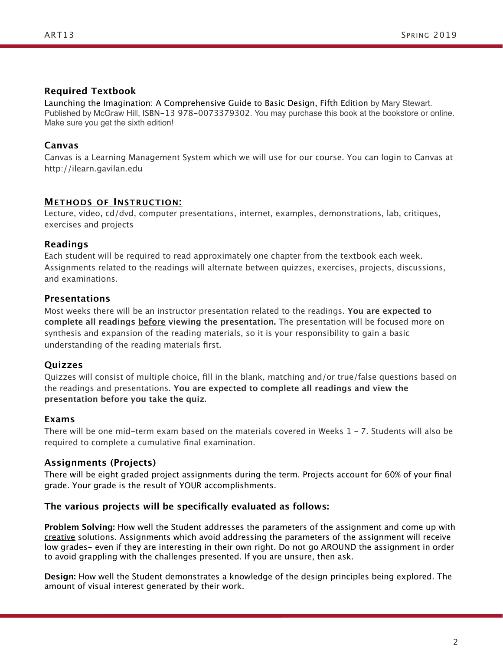## **Required Textbook**

Launching the Imagination: A Comprehensive Guide to Basic Design, Fifth Edition by Mary Stewart. Published by McGraw Hill, ISBN-13 978-0073379302. You may purchase this book at the bookstore or online. Make sure you get the sixth edition!

# **Canvas**

Canvas is a Learning Management System which we will use for our course. You can login to Canvas at http://ilearn.gavilan.edu

## **METHODS OF INSTRUCTION:**

Lecture, video, cd/dvd, computer presentations, internet, examples, demonstrations, lab, critiques, exercises and projects

## **Readings**

Each student will be required to read approximately one chapter from the textbook each week. Assignments related to the readings will alternate between quizzes, exercises, projects, discussions, and examinations.

## **Presentations**

Most weeks there will be an instructor presentation related to the readings. **You are expected to complete all readings before viewing the presentation.** The presentation will be focused more on synthesis and expansion of the reading materials, so it is your responsibility to gain a basic understanding of the reading materials first.

# **Quizzes**

Quizzes will consist of multiple choice, fill in the blank, matching and/or true/false questions based on the readings and presentations. **You are expected to complete all readings and view the presentation before you take the quiz.** 

### **Exams**

There will be one mid-term exam based on the materials covered in Weeks 1 – 7. Students will also be required to complete a cumulative final examination.

# **Assignments (Projects)**

There will be eight graded project assignments during the term. Projects account for 60% of your final grade. Your grade is the result of YOUR accomplishments.

### **The various projects will be specifically evaluated as follows:**

**Problem Solving:** How well the Student addresses the parameters of the assignment and come up with creative solutions. Assignments which avoid addressing the parameters of the assignment will receive low grades- even if they are interesting in their own right. Do not go AROUND the assignment in order to avoid grappling with the challenges presented. If you are unsure, then ask.

**Design:** How well the Student demonstrates a knowledge of the design principles being explored. The amount of visual interest generated by their work.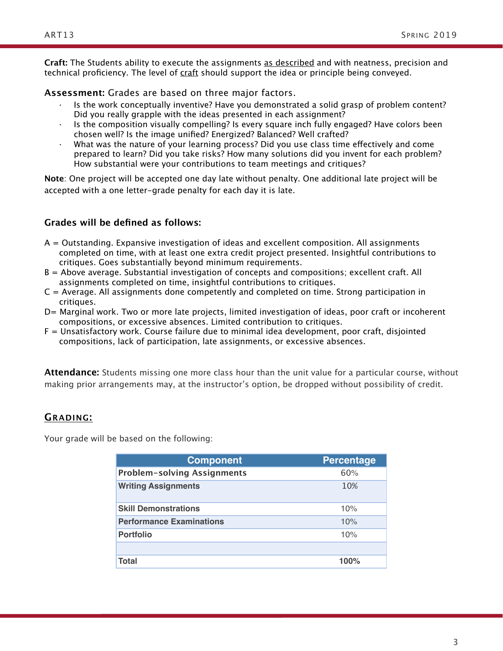technical proficiency. The level of craft should support the idea or principle being conveyed.

**Assessment:** Grades are based on three major factors.

- Is the work conceptually inventive? Have you demonstrated a solid grasp of problem content? Did you really grapple with the ideas presented in each assignment?
- Is the composition visually compelling? Is every square inch fully engaged? Have colors been chosen well? Is the image unified? Energized? Balanced? Well crafted?
- What was the nature of your learning process? Did you use class time effectively and come prepared to learn? Did you take risks? How many solutions did you invent for each problem? How substantial were your contributions to team meetings and critiques?

**Note**: One project will be accepted one day late without penalty. One additional late project will be accepted with a one letter-grade penalty for each day it is late.

# **Grades will be defined as follows:**

- A = Outstanding. Expansive investigation of ideas and excellent composition. All assignments completed on time, with at least one extra credit project presented. Insightful contributions to critiques. Goes substantially beyond minimum requirements.
- B = Above average. Substantial investigation of concepts and compositions; excellent craft. All assignments completed on time, insightful contributions to critiques.
- $C =$  Average. All assignments done competently and completed on time. Strong participation in critiques.
- D= Marginal work. Two or more late projects, limited investigation of ideas, poor craft or incoherent compositions, or excessive absences. Limited contribution to critiques.
- F = Unsatisfactory work. Course failure due to minimal idea development, poor craft, disjointed compositions, lack of participation, late assignments, or excessive absences.

**Attendance:** Students missing one more class hour than the unit value for a particular course, without making prior arrangements may, at the instructor's option, be dropped without possibility of credit.

# **GRADING:**

Your grade will be based on the following:

| <b>Component</b>                   | <b>Percentage</b> |
|------------------------------------|-------------------|
| <b>Problem-solving Assignments</b> | 60%               |
| <b>Writing Assignments</b>         | 10%               |
| <b>Skill Demonstrations</b>        | 10%               |
| <b>Performance Examinations</b>    | 10%               |
| <b>Portfolio</b>                   | 10%               |
|                                    |                   |
| Total                              | 100%              |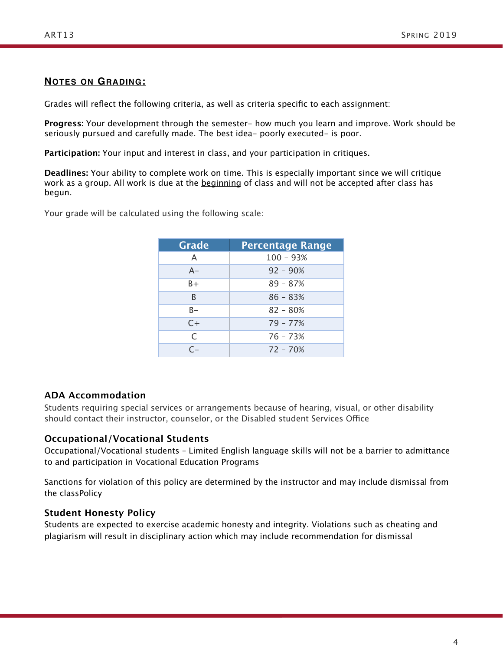## **NOTES ON GRADING:**

Grades will reflect the following criteria, as well as criteria specific to each assignment:

**Progress:** Your development through the semester- how much you learn and improve. Work should be seriously pursued and carefully made. The best idea- poorly executed- is poor.

**Participation:** Your input and interest in class, and your participation in critiques.

**Deadlines:** Your ability to complete work on time. This is especially important since we will critique work as a group. All work is due at the beginning of class and will not be accepted after class has begun.

Your grade will be calculated using the following scale:

| Grade     | <b>Percentage Range</b> |  |  |  |  |
|-----------|-------------------------|--|--|--|--|
| A         | $100 - 93%$             |  |  |  |  |
| $A -$     | $92 - 90%$              |  |  |  |  |
| $B +$     | $89 - 87%$              |  |  |  |  |
| B         | $86 - 83%$              |  |  |  |  |
| B-        | $82 - 80%$              |  |  |  |  |
| $C+$      | $79 - 77%$              |  |  |  |  |
| C         | $76 - 73%$              |  |  |  |  |
| $\subset$ | $72 - 70%$              |  |  |  |  |

### **ADA Accommodation**

Students requiring special services or arrangements because of hearing, visual, or other disability should contact their instructor, counselor, or the Disabled student Services Office

### **Occupational/Vocational Students**

Occupational/Vocational students – Limited English language skills will not be a barrier to admittance to and participation in Vocational Education Programs

Sanctions for violation of this policy are determined by the instructor and may include dismissal from the classPolicy

### **Student Honesty Policy**

Students are expected to exercise academic honesty and integrity. Violations such as cheating and plagiarism will result in disciplinary action which may include recommendation for dismissal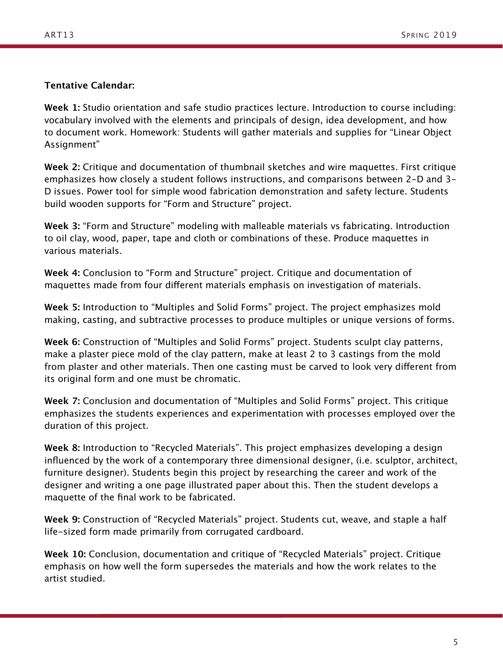# **Tentative Calendar:**

**Week 1:** Studio orientation and safe studio practices lecture. Introduction to course including: vocabulary involved with the elements and principals of design, idea development, and how to document work. Homework: Students will gather materials and supplies for "Linear Object Assignment"

**Week 2:** Critique and documentation of thumbnail sketches and wire maquettes. First critique emphasizes how closely a student follows instructions, and comparisons between 2-D and 3- D issues. Power tool for simple wood fabrication demonstration and safety lecture. Students build wooden supports for "Form and Structure" project.

**Week 3:** "Form and Structure" modeling with malleable materials vs fabricating. Introduction to oil clay, wood, paper, tape and cloth or combinations of these. Produce maquettes in various materials.

**Week 4:** Conclusion to "Form and Structure" project. Critique and documentation of maquettes made from four diferent materials emphasis on investigation of materials.

**Week 5:** Introduction to "Multiples and Solid Forms" project. The project emphasizes mold making, casting, and subtractive processes to produce multiples or unique versions of forms.

**Week 6:** Construction of "Multiples and Solid Forms" project. Students sculpt clay patterns, make a plaster piece mold of the clay pattern, make at least 2 to 3 castings from the mold from plaster and other materials. Then one casting must be carved to look very diferent from its original form and one must be chromatic.

**Week 7:** Conclusion and documentation of "Multiples and Solid Forms" project. This critique emphasizes the students experiences and experimentation with processes employed over the duration of this project.

**Week 8:** Introduction to "Recycled Materials". This project emphasizes developing a design influenced by the work of a contemporary three dimensional designer, (i.e. sculptor, architect, furniture designer). Students begin this project by researching the career and work of the designer and writing a one page illustrated paper about this. Then the student develops a maquette of the final work to be fabricated.

**Week 9:** Construction of "Recycled Materials" project. Students cut, weave, and staple a half life-sized form made primarily from corrugated cardboard.

**Week 10:** Conclusion, documentation and critique of "Recycled Materials" project. Critique emphasis on how well the form supersedes the materials and how the work relates to the artist studied.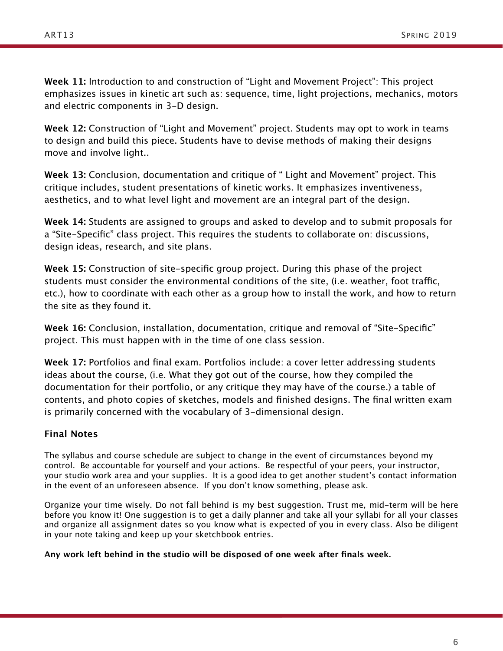**Week 11:** Introduction to and construction of "Light and Movement Project": This project emphasizes issues in kinetic art such as: sequence, time, light projections, mechanics, motors and electric components in 3-D design.

**Week 12:** Construction of "Light and Movement" project. Students may opt to work in teams to design and build this piece. Students have to devise methods of making their designs move and involve light..

**Week 13:** Conclusion, documentation and critique of " Light and Movement" project. This critique includes, student presentations of kinetic works. It emphasizes inventiveness, aesthetics, and to what level light and movement are an integral part of the design.

**Week 14:** Students are assigned to groups and asked to develop and to submit proposals for a "Site-Specific" class project. This requires the students to collaborate on: discussions, design ideas, research, and site plans.

**Week 15:** Construction of site-specific group project. During this phase of the project students must consider the environmental conditions of the site, (i.e. weather, foot traffic, etc.), how to coordinate with each other as a group how to install the work, and how to return the site as they found it.

**Week 16:** Conclusion, installation, documentation, critique and removal of "Site-Specific" project. This must happen with in the time of one class session.

**Week 17:** Portfolios and final exam. Portfolios include: a cover letter addressing students ideas about the course, (i.e. What they got out of the course, how they compiled the documentation for their portfolio, or any critique they may have of the course.) a table of contents, and photo copies of sketches, models and finished designs. The final written exam is primarily concerned with the vocabulary of 3-dimensional design.

# **Final Notes**

The syllabus and course schedule are subject to change in the event of circumstances beyond my control. Be accountable for yourself and your actions. Be respectful of your peers, your instructor, your studio work area and your supplies. It is a good idea to get another student's contact information in the event of an unforeseen absence. If you don't know something, please ask.

Organize your time wisely. Do not fall behind is my best suggestion. Trust me, mid-term will be here before you know it! One suggestion is to get a daily planner and take all your syllabi for all your classes and organize all assignment dates so you know what is expected of you in every class. Also be diligent in your note taking and keep up your sketchbook entries.

**Any work left behind in the studio will be disposed of one week after finals week.**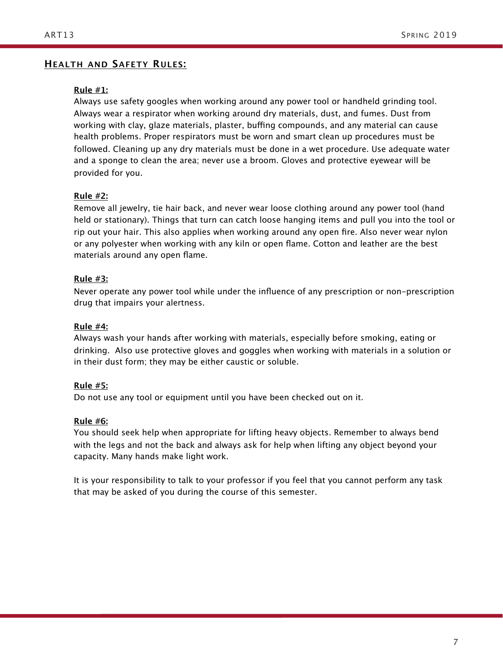### **HEALTH AND SAFETY RULES:**

#### **Rule #1:**

Always use safety googles when working around any power tool or handheld grinding tool. Always wear a respirator when working around dry materials, dust, and fumes. Dust from working with clay, glaze materials, plaster, buffing compounds, and any material can cause health problems. Proper respirators must be worn and smart clean up procedures must be followed. Cleaning up any dry materials must be done in a wet procedure. Use adequate water and a sponge to clean the area; never use a broom. Gloves and protective eyewear will be provided for you.

#### **Rule #2:**

Remove all jewelry, tie hair back, and never wear loose clothing around any power tool (hand held or stationary). Things that turn can catch loose hanging items and pull you into the tool or rip out your hair. This also applies when working around any open fire. Also never wear nylon or any polyester when working with any kiln or open flame. Cotton and leather are the best materials around any open flame.

### **Rule #3:**

Never operate any power tool while under the influence of any prescription or non-prescription drug that impairs your alertness.

#### **Rule #4:**

Always wash your hands after working with materials, especially before smoking, eating or drinking. Also use protective gloves and goggles when working with materials in a solution or in their dust form; they may be either caustic or soluble.

#### **Rule #5:**

Do not use any tool or equipment until you have been checked out on it.

#### **Rule #6:**

You should seek help when appropriate for lifting heavy objects. Remember to always bend with the legs and not the back and always ask for help when lifting any object beyond your capacity. Many hands make light work.

It is your responsibility to talk to your professor if you feel that you cannot perform any task that may be asked of you during the course of this semester.